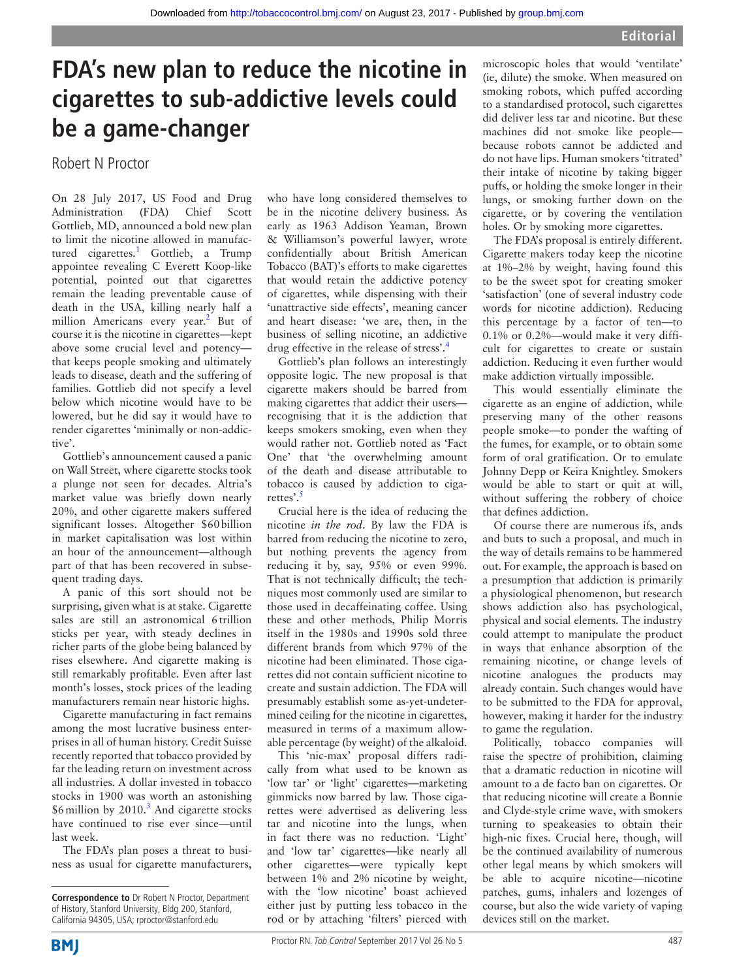# **FDA's new plan to reduce the nicotine in cigarettes to sub-addictive levels could be a game-changer**

### Robert N Proctor

On 28 July 2017, US Food and Drug Administration (FDA) Chief Scott Gottlieb, MD, announced a bold new plan to limit the nicotine allowed in manufactured cigarettes.<sup>1</sup> Gottlieb, a Trump appointee revealing C Everett Koop-like potential, pointed out that cigarettes remain the leading preventable cause of death in the USA, killing nearly half a million Americans every year.<sup>2</sup> But of course it is the nicotine in cigarettes—kept above some crucial level and potency that keeps people smoking and ultimately leads to disease, death and the suffering of families. Gottlieb did not specify a level below which nicotine would have to be lowered, but he did say it would have to render cigarettes 'minimally or non-addictive'.

Gottlieb's announcement caused a panic on Wall Street, where cigarette stocks took a plunge not seen for decades. Altria's market value was briefly down nearly 20%, and other cigarette makers suffered significant losses. Altogether \$60billion in market capitalisation was lost within an hour of the announcement—although part of that has been recovered in subsequent trading days.

A panic of this sort should not be surprising, given what is at stake. Cigarette sales are still an astronomical 6trillion sticks per year, with steady declines in richer parts of the globe being balanced by rises elsewhere. And cigarette making is still remarkably profitable. Even after last month's losses, stock prices of the leading manufacturers remain near historic highs.

Cigarette manufacturing in fact remains among the most lucrative business enterprises in all of human history. Credit Suisse recently reported that tobacco provided by far the leading return on investment across all industries. A dollar invested in tobacco stocks in 1900 was worth an astonishing  $$6$  million by 2010.<sup>[3](#page-1-2)</sup> And cigarette stocks have continued to rise ever since—until last week.

The FDA's plan poses a threat to business as usual for cigarette manufacturers, who have long considered themselves to be in the nicotine delivery business. As early as 1963 Addison Yeaman, Brown & Williamson's powerful lawyer, wrote confidentially about British American Tobacco (BAT)'s efforts to make cigarettes that would retain the addictive potency of cigarettes, while dispensing with their 'unattractive side effects', meaning cancer and heart disease: 'we are, then, in the business of selling nicotine, an addictive drug effective in the release of stress'[.4](#page-1-3)

Gottlieb's plan follows an interestingly opposite logic. The new proposal is that cigarette makers should be barred from making cigarettes that addict their users recognising that it is the addiction that keeps smokers smoking, even when they would rather not. Gottlieb noted as 'Fact One' that 'the overwhelming amount of the death and disease attributable to tobacco is caused by addiction to ciga-rettes'.<sup>[5](#page-1-4)</sup>

Crucial here is the idea of reducing the nicotine *in the rod*. By law the FDA is barred from reducing the nicotine to zero, but nothing prevents the agency from reducing it by, say, 95% or even 99%. That is not technically difficult; the techniques most commonly used are similar to those used in decaffeinating coffee. Using these and other methods, Philip Morris itself in the 1980s and 1990s sold three different brands from which 97% of the nicotine had been eliminated. Those cigarettes did not contain sufficient nicotine to create and sustain addiction. The FDA will presumably establish some as-yet-undetermined ceiling for the nicotine in cigarettes, measured in terms of a maximum allowable percentage (by weight) of the alkaloid.

This 'nic-max' proposal differs radically from what used to be known as 'low tar' or 'light' cigarettes—marketing gimmicks now barred by law. Those cigarettes were advertised as delivering less tar and nicotine into the lungs, when in fact there was no reduction. 'Light' and 'low tar' cigarettes—like nearly all other cigarettes—were typically kept between 1% and 2% nicotine by weight, with the 'low nicotine' boast achieved either just by putting less tobacco in the rod or by attaching 'filters' pierced with microscopic holes that would 'ventilate' (ie, dilute) the smoke. When measured on smoking robots, which puffed according to a standardised protocol, such cigarettes did deliver less tar and nicotine. But these machines did not smoke like people because robots cannot be addicted and do not have lips. Human smokers 'titrated' their intake of nicotine by taking bigger puffs, or holding the smoke longer in their lungs, or smoking further down on the cigarette, or by covering the ventilation holes. Or by smoking more cigarettes.

The FDA's proposal is entirely different. Cigarette makers today keep the nicotine at 1%–2% by weight, having found this to be the sweet spot for creating smoker 'satisfaction' (one of several industry code words for nicotine addiction). Reducing this percentage by a factor of ten—to 0.1% or 0.2%—would make it very difficult for cigarettes to create or sustain addiction. Reducing it even further would make addiction virtually impossible.

This would essentially eliminate the cigarette as an engine of addiction, while preserving many of the other reasons people smoke—to ponder the wafting of the fumes, for example, or to obtain some form of oral gratification. Or to emulate Johnny Depp or Keira Knightley. Smokers would be able to start or quit at will, without suffering the robbery of choice that defines addiction.

Of course there are numerous ifs, ands and buts to such a proposal, and much in the way of details remains to be hammered out. For example, the approach is based on a presumption that addiction is primarily a physiological phenomenon, but research shows addiction also has psychological, physical and social elements. The industry could attempt to manipulate the product in ways that enhance absorption of the remaining nicotine, or change levels of nicotine analogues the products may already contain. Such changes would have to be submitted to the FDA for approval, however, making it harder for the industry to game the regulation.

Politically, tobacco companies will raise the spectre of prohibition, claiming that a dramatic reduction in nicotine will amount to a de facto ban on cigarettes. Or that reducing nicotine will create a Bonnie and Clyde-style crime wave, with smokers turning to speakeasies to obtain their high-nic fixes. Crucial here, though, will be the continued availability of numerous other legal means by which smokers will be able to acquire nicotine—nicotine patches, gums, inhalers and lozenges of course, but also the wide variety of vaping devices still on the market.

**Correspondence to** Dr Robert N Proctor, Department of History, Stanford University, Bldg 200, Stanford, California 94305, USA; rproctor@stanford.edu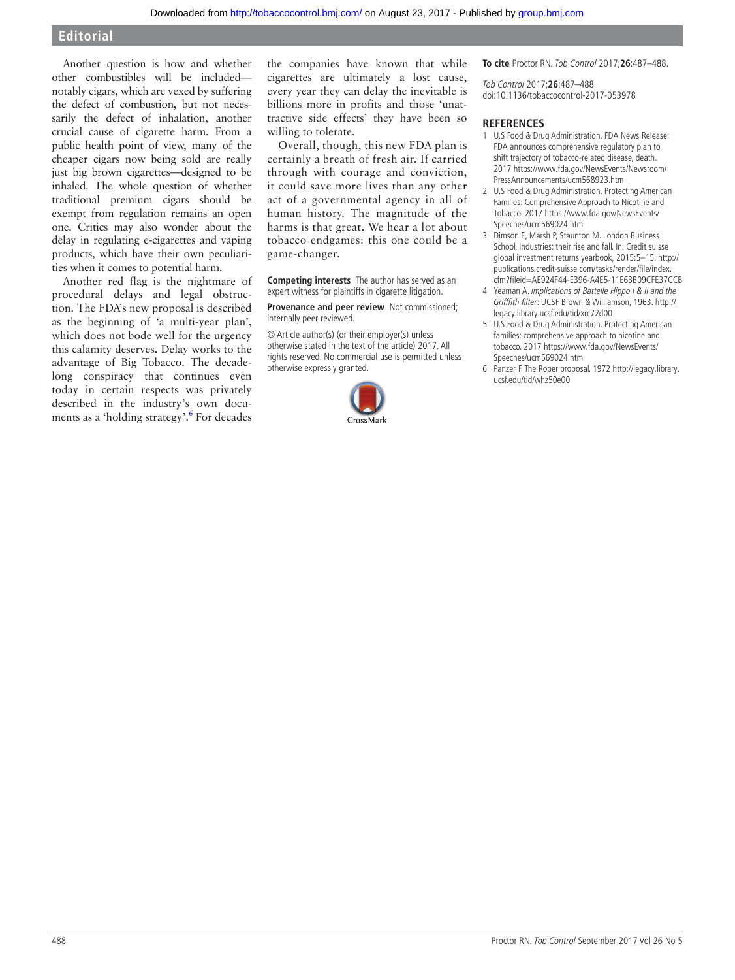#### **Editorial**

Another question is how and whether other combustibles will be included notably cigars, which are vexed by suffering the defect of combustion, but not necessarily the defect of inhalation, another crucial cause of cigarette harm. From a public health point of view, many of the cheaper cigars now being sold are really just big brown cigarettes—designed to be inhaled. The whole question of whether traditional premium cigars should be exempt from regulation remains an open one. Critics may also wonder about the delay in regulating e-cigarettes and vaping products, which have their own peculiarities when it comes to potential harm.

Another red flag is the nightmare of procedural delays and legal obstruction. The FDA's new proposal is described as the beginning of 'a multi-year plan', which does not bode well for the urgency this calamity deserves. Delay works to the advantage of Big Tobacco. The decadelong conspiracy that continues even today in certain respects was privately described in the industry's own documents as a 'holding strategy'.<sup>6</sup> For decades the companies have known that while cigarettes are ultimately a lost cause, every year they can delay the inevitable is billions more in profits and those 'unattractive side effects' they have been so willing to tolerate.

Overall, though, this new FDA plan is certainly a breath of fresh air. If carried through with courage and conviction, it could save more lives than any other act of a governmental agency in all of human history. The magnitude of the harms is that great. We hear a lot about tobacco endgames: this one could be a game-changer.

**Competing interests** The author has served as an expert witness for plaintiffs in cigarette litigation.

**Provenance and peer review** Not commissioned; internally peer reviewed.

© Article author(s) (or their employer(s) unless otherwise stated in the text of the article) 2017. All rights reserved. No commercial use is permitted unless otherwise expressly granted.



**To cite** Proctor RN. Tob Control 2017;**26**:487–488.

Tob Control 2017;**26**:487–488. doi:10.1136/tobaccocontrol-2017-053978

#### **References**

- <span id="page-1-0"></span>1 U.S Food & Drug Administration. FDA News Release: FDA announces comprehensive regulatory plan to shift trajectory of tobacco-related disease, death. 2017 [https://www.fda.gov/NewsEvents/Newsroom/](https://www.fda.gov/NewsEvents/Newsroom/PressAnnouncements/ucm568923.htm) [PressAnnouncements/ucm568923.htm](https://www.fda.gov/NewsEvents/Newsroom/PressAnnouncements/ucm568923.htm)
- <span id="page-1-1"></span>2 U.S Food & Drug Administration. Protecting American Families: Comprehensive Approach to Nicotine and Tobacco. 2017 [https://www.fda.gov/NewsEvents/](https://www.fda.gov/NewsEvents/Speeches/ucm569024.htm) [Speeches/ucm569024.htm](https://www.fda.gov/NewsEvents/Speeches/ucm569024.htm)
- <span id="page-1-2"></span>Dimson E, Marsh P, Staunton M. London Business School. Industries: their rise and fall. In: Credit suisse global investment returns yearbook, 2015:5–15. [http://](http://publications.credit-suisse.com/tasks/render/file/index.cfm?fileid=AE924F44-E396-A4E5-11E63B09CFE37CCB) [publications.credit-suisse.com/tasks/render/file/index.](http://publications.credit-suisse.com/tasks/render/file/index.cfm?fileid=AE924F44-E396-A4E5-11E63B09CFE37CCB) [cfm?fileid=AE924F44-E396-A4E5-11E63B09CFE37CCB](http://publications.credit-suisse.com/tasks/render/file/index.cfm?fileid=AE924F44-E396-A4E5-11E63B09CFE37CCB)
- <span id="page-1-3"></span>4 Yeaman A. Implications of Battelle Hippo I & II and the Grifffith filter: UCSF Brown & Williamson, 1963. [http://](http://legacy.library.ucsf.edu/tid/xrc72d00) [legacy.library.ucsf.edu/tid/xrc72d00](http://legacy.library.ucsf.edu/tid/xrc72d00)
- <span id="page-1-4"></span>5 U.S Food & Drug Administration. Protecting American families: comprehensive approach to nicotine and tobacco. 2017 [https://www.fda.gov/NewsEvents/](https://www.fda.gov/NewsEvents/Speeches/ucm569024.htm) [Speeches/ucm569024.htm](https://www.fda.gov/NewsEvents/Speeches/ucm569024.htm)
- <span id="page-1-5"></span>6 Panzer F. The Roper proposal. 1972 [http://legacy.library.](http://legacy.library.ucsf.edu/tid/whz50e00) [ucsf.edu/tid/whz50e00](http://legacy.library.ucsf.edu/tid/whz50e00)